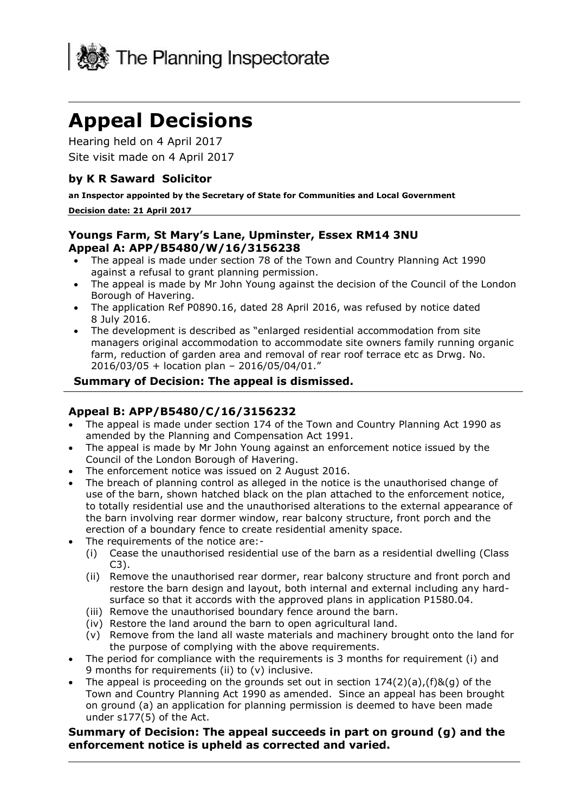

# **Appeal Decisions**

 Hearing held on 4 April 2017 Site visit made on 4 April 2017

#### **by K R Saward Solicitor**

 **an Inspector appointed by the Secretary of State for Communities and Local Government** 

#### **Decision date: 21 April 2017**

#### **Youngs Farm, St Mary's Lane, Upminster, Essex RM14 3NU Appeal A: APP/B5480/W/16/3156238**

- The appeal is made under section 78 of the Town and Country Planning Act 1990 against a refusal to grant planning permission.
- The appeal is made by Mr John Young against the decision of the Council of the London Borough of Havering.
- The application Ref P0890.16, dated 28 April 2016, was refused by notice dated 8 July 2016.
- The development is described as "enlarged residential accommodation from site farm, reduction of garden area and removal of rear roof terrace etc as Drwg. No. managers original accommodation to accommodate site owners family running organic 2016/03/05 + location plan – 2016/05/04/01."

#### **Summary of Decision: The appeal is dismissed.**

#### **Appeal B: APP/B5480/C/16/3156232**

- The appeal is made under section 174 of the Town and Country Planning Act 1990 as amended by the Planning and Compensation Act 1991.
- The appeal is made by Mr John Young against an enforcement notice issued by the Council of the London Borough of Havering.
- The enforcement notice was issued on 2 August 2016.
- to totally residential use and the unauthorised alterations to the external appearance of erection of a boundary fence to create residential amenity space. The breach of planning control as alleged in the notice is the unauthorised change of use of the barn, shown hatched black on the plan attached to the enforcement notice, the barn involving rear dormer window, rear balcony structure, front porch and the
- The requirements of the notice are:-
	- (i) Cease the unauthorised residential use of the barn as a residential dwelling (Class C3).
	- (ii) Remove the unauthorised rear dormer, rear balcony structure and front porch and restore the barn design and layout, both internal and external including any hardsurface so that it accords with the approved plans in application P1580.04.
	- (iii) Remove the unauthorised boundary fence around the barn.
	- (iv) Restore the land around the barn to open agricultural land.
	- (v) Remove from the land all waste materials and machinery brought onto the land for the purpose of complying with the above requirements.
- The period for compliance with the requirements is 3 months for requirement (i) and 9 months for requirements (ii) to (v) inclusive.
- The appeal is proceeding on the grounds set out in section  $174(2)(a)$ , (f)&(q) of the Town and Country Planning Act 1990 as amended. Since an appeal has been brought on ground (a) an application for planning permission is deemed to have been made under s177(5) of the Act.

#### **Summary of Decision: The appeal succeeds in part on ground (g) and the enforcement notice is upheld as corrected and varied.**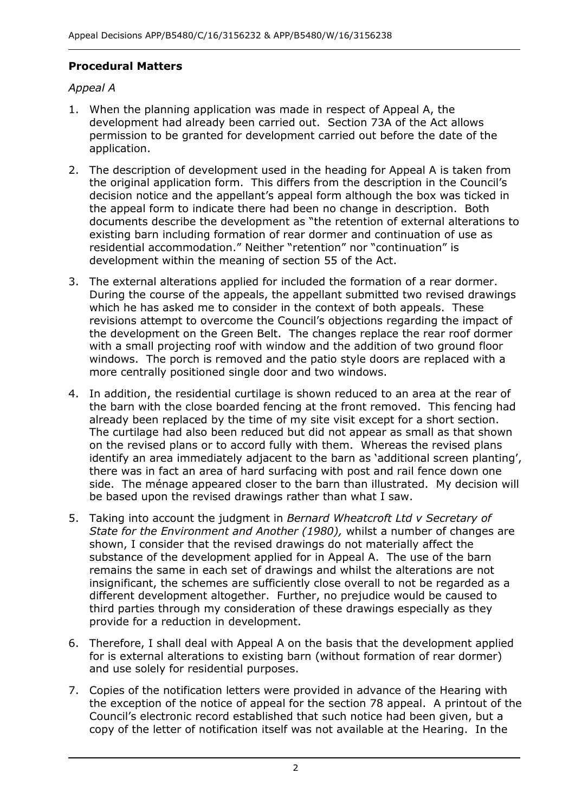## **Procedural Matters**

## *Appeal A*

- 1. When the planning application was made in respect of Appeal A, the development had already been carried out. Section 73A of the Act allows application. permission to be granted for development carried out before the date of the
- 2. The description of development used in the heading for Appeal A is taken from the original application form. This differs from the description in the Council's decision notice and the appellant's appeal form although the box was ticked in the appeal form to indicate there had been no change in description. Both residential accommodation." Neither "retention" nor "continuation" is development within the meaning of section 55 of the Act. documents describe the development as "the retention of external alterations to existing barn including formation of rear dormer and continuation of use as
- development within the meaning of section 55 of the Act. 3. The external alterations applied for included the formation of a rear dormer. which he has asked me to consider in the context of both appeals. These the development on the Green Belt. The changes replace the rear roof dormer with a small projecting roof with window and the addition of two ground floor windows. The porch is removed and the patio style doors are replaced with a more centrally positioned single door and two windows. During the course of the appeals, the appellant submitted two revised drawings revisions attempt to overcome the Council's objections regarding the impact of
- the barn with the close boarded fencing at the front removed. This fencing had already been replaced by the time of my site visit except for a short section. The curtilage had also been reduced but did not appear as small as that shown on the revised plans or to accord fully with them. Whereas the revised plans there was in fact an area of hard surfacing with post and rail fence down one side. The ménage appeared closer to the barn than illustrated. My decision will 4. In addition, the residential curtilage is shown reduced to an area at the rear of identify an area immediately adjacent to the barn as 'additional screen planting', be based upon the revised drawings rather than what I saw.
- 5. Taking into account the judgment in *Bernard Wheatcroft Ltd v Secretary of State for the Environment and Another (1980),* whilst a number of changes are substance of the development applied for in Appeal A. The use of the barn insignificant, the schemes are sufficiently close overall to not be regarded as a different development altogether. Further, no prejudice would be caused to third parties through my consideration of these drawings especially as they provide for a reduction in development. shown, I consider that the revised drawings do not materially affect the remains the same in each set of drawings and whilst the alterations are not
- provide for a reduction in development. 6. Therefore, I shall deal with Appeal A on the basis that the development applied for is external alterations to existing barn (without formation of rear dormer) and use solely for residential purposes.
- the exception of the notice of appeal for the section 78 appeal. A printout of the Council's electronic record established that such notice had been given, but a copy of the letter of notification itself was not available at the Hearing. In the 7. Copies of the notification letters were provided in advance of the Hearing with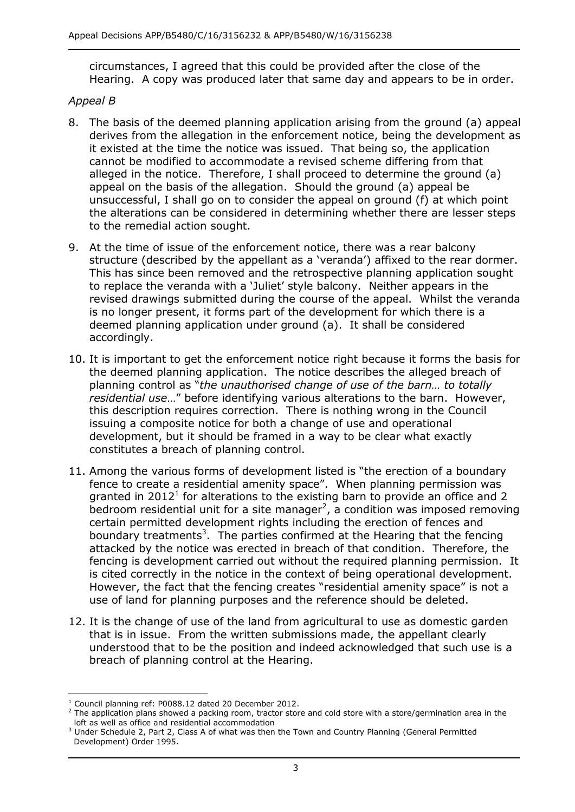circumstances, I agreed that this could be provided after the close of the Hearing. A copy was produced later that same day and appears to be in order.

#### *Appeal B*

- 8. The basis of the deemed planning application arising from the ground (a) appeal derives from the allegation in the enforcement notice, being the development as it existed at the time the notice was issued. That being so, the application cannot be modified to accommodate a revised scheme differing from that alleged in the notice. Therefore, I shall proceed to determine the ground (a) appeal on the basis of the allegation. Should the ground (a) appeal be unsuccessful, I shall go on to consider the appeal on ground (f) at which point the alterations can be considered in determining whether there are lesser steps to the remedial action sought.
- 9. At the time of issue of the enforcement notice, there was a rear balcony structure (described by the appellant as a 'veranda') affixed to the rear dormer. to replace the veranda with a 'Juliet' style balcony. Neither appears in the revised drawings submitted during the course of the appeal. Whilst the veranda is no longer present, it forms part of the development for which there is a deemed planning application under ground (a). It shall be considered This has since been removed and the retrospective planning application sought accordingly.
- the deemed planning application. The notice describes the alleged breach of  planning control as "*the unauthorised change of use of the barn… to totally* this description requires correction. There is nothing wrong in the Council issuing a composite notice for both a change of use and operational development, but it should be framed in a way to be clear what exactly constitutes a breach of planning control. 10. It is important to get the enforcement notice right because it forms the basis for *residential use*…" before identifying various alterations to the barn. However,
- 11. Among the various forms of development listed is "the erection of a boundary fence to create a residential amenity space". When planning permission was granted in 2012<sup>1</sup> for alterations to the existing barn to provide an office and 2 bedroom residential unit for a site manager<sup>2</sup>, a condition was imposed removing boundary treatments<sup>3</sup>. The parties confirmed at the Hearing that the fencing attacked by the notice was erected in breach of that condition. Therefore, the fencing is development carried out without the required planning permission. It is cited correctly in the notice in the context of being operational development. However, the fact that the fencing creates "residential amenity space" is not a use of land for planning purposes and the reference should be deleted. certain permitted development rights including the erection of fences and
- 12. It is the change of use of the land from agricultural to use as domestic garden that is in issue. From the written submissions made, the appellant clearly understood that to be the position and indeed acknowledged that such use is a breach of planning control at the Hearing.

j <sup>1</sup> Council planning ref: P0088.12 dated 20 December 2012.

<sup>&</sup>lt;sup>1</sup> Council planning ref: P0088.12 dated 20 December 2012.<br><sup>2</sup> The application plans showed a packing room, tractor store and cold store with a store/germination area in the loft as well as office and residential accommodation

 $3$  Under Schedule 2, Part 2, Class A of what was then the Town and Country Planning (General Permitted Development) Order 1995.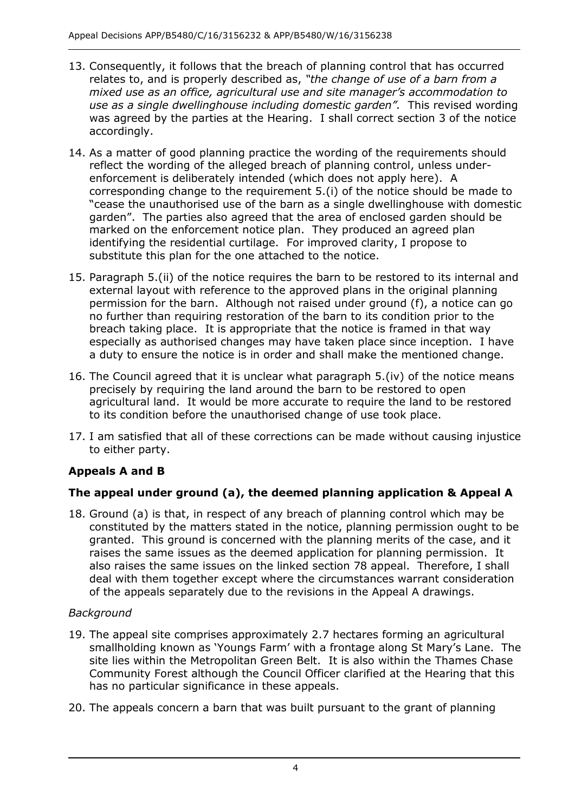- relates to, and is properly described as, *"the change of use of a barn from a*  was agreed by the parties at the Hearing. I shall correct section 3 of the notice accordingly. 13. Consequently, it follows that the breach of planning control that has occurred *mixed use as an office, agricultural use and site manager's accommodation to use as a single dwellinghouse including domestic garden".* This revised wording
- 14. As a matter of good planning practice the wording of the requirements should reflect the wording of the alleged breach of planning control, unless under- enforcement is deliberately intended (which does not apply here). A corresponding change to the requirement 5.(i) of the notice should be made to garden". The parties also agreed that the area of enclosed garden should be marked on the enforcement notice plan. They produced an agreed plan identifying the residential curtilage. For improved clarity, I propose to "cease the unauthorised use of the barn as a single dwellinghouse with domestic substitute this plan for the one attached to the notice.
- 15. Paragraph 5.(ii) of the notice requires the barn to be restored to its internal and external layout with reference to the approved plans in the original planning permission for the barn. Although not raised under ground (f), a notice can go breach taking place. It is appropriate that the notice is framed in that way especially as authorised changes may have taken place since inception. I have a duty to ensure the notice is in order and shall make the mentioned change. no further than requiring restoration of the barn to its condition prior to the
- 16. The Council agreed that it is unclear what paragraph 5.(iv) of the notice means precisely by requiring the land around the barn to be restored to open agricultural land. It would be more accurate to require the land to be restored to its condition before the unauthorised change of use took place.
- 17. I am satisfied that all of these corrections can be made without causing injustice to either party.

# **Appeals A and B**

# **The appeal under ground (a), the deemed planning application & Appeal A**

 18. Ground (a) is that, in respect of any breach of planning control which may be constituted by the matters stated in the notice, planning permission ought to be granted. This ground is concerned with the planning merits of the case, and it raises the same issues as the deemed application for planning permission. It also raises the same issues on the linked section 78 appeal. Therefore, I shall deal with them together except where the circumstances warrant consideration of the appeals separately due to the revisions in the Appeal A drawings.

# *Background*

- 19. The appeal site comprises approximately 2.7 hectares forming an agricultural smallholding known as 'Youngs Farm' with a frontage along St Mary's Lane. The site lies within the Metropolitan Green Belt. It is also within the Thames Chase Community Forest although the Council Officer clarified at the Hearing that this has no particular significance in these appeals.
- 20. The appeals concern a barn that was built pursuant to the grant of planning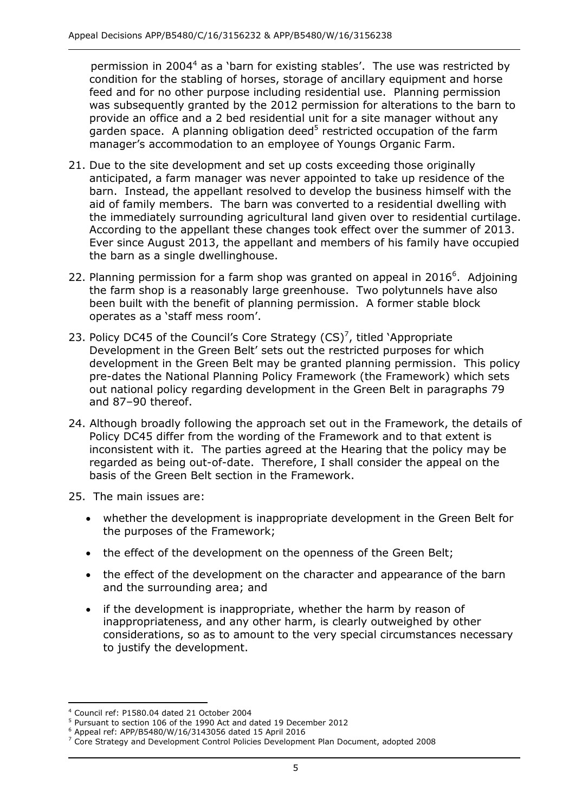condition for the stabling of horses, storage of ancillary equipment and horse feed and for no other purpose including residential use. Planning permission was subsequently granted by the 2012 permission for alterations to the barn to provide an office and a 2 bed residential unit for a site manager without any garden space. A planning obligation deed<sup>5</sup> restricted occupation of the farm manager's accommodation to an employee of Youngs Organic Farm. permission in 2004 $4$  as a 'barn for existing stables'. The use was restricted by

- 21. Due to the site development and set up costs exceeding those originally anticipated, a farm manager was never appointed to take up residence of the barn. Instead, the appellant resolved to develop the business himself with the aid of family members. The barn was converted to a residential dwelling with the immediately surrounding agricultural land given over to residential curtilage. According to the appellant these changes took effect over the summer of 2013. According to the appellant these changes took effect over the summer of 2013.<br>Ever since August 2013, the appellant and members of his family have occupied the barn as a single dwellinghouse.
- 22. Planning permission for a farm shop was granted on appeal in 2016 $^6$ . Adjoining the farm shop is a reasonably large greenhouse. Two polytunnels have also been built with the benefit of planning permission. A former stable block operates as a 'staff mess room'.
- 23. Policy DC45 of the Council's Core Strategy  $(CS)^7$ , titled 'Appropriate Development in the Green Belt' sets out the restricted purposes for which development in the Green Belt may be granted planning permission. This policy pre-dates the National Planning Policy Framework (the Framework) which sets out national policy regarding development in the Green Belt in paragraphs 79 and 87–90 thereof.
- 24. Although broadly following the approach set out in the Framework, the details of Policy DC45 differ from the wording of the Framework and to that extent is inconsistent with it. The parties agreed at the Hearing that the policy may be regarded as being out-of-date. Therefore, I shall consider the appeal on the basis of the Green Belt section in the Framework.
- 25. The main issues are:
	- whether the development is inappropriate development in the Green Belt for the purposes of the Framework;
	- the effect of the development on the openness of the Green Belt;
	- the effect of the development on the character and appearance of the barn and the surrounding area; and
- if the development is inappropriate, whether the harm by reason of inappropriateness, and any other harm, is clearly outweighed by other considerations, so as to amount to the very special circumstances necessary to justify the development. to justify the development. 4 Council ref: P1580.04 dated 21 October 2004 5 Pursuant to section 106 of the 1990 Act and dated 19 December 2012

j <sup>4</sup> Council ref: P1580.04 dated 21 October 2004

 $6$  Appeal ref: APP/B5480/W/16/3143056 dated 15 April 2016

 $7$  Core Strategy and Development Control Policies Development Plan Document, adopted 2008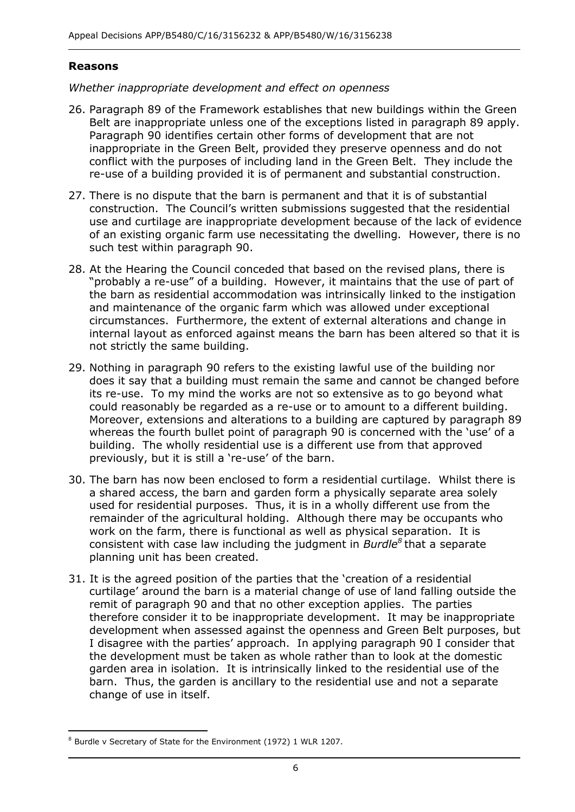#### **Reasons**

#### *Whether inappropriate development and effect on openness*

- Belt are inappropriate unless one of the exceptions listed in paragraph 89 apply. inappropriate in the Green Belt, provided they preserve openness and do not conflict with the purposes of including land in the Green Belt. They include the re-use of a building provided it is of permanent and substantial construction. 26. Paragraph 89 of the Framework establishes that new buildings within the Green Paragraph 90 identifies certain other forms of development that are not
- 27. There is no dispute that the barn is permanent and that it is of substantial construction. The Council's written submissions suggested that the residential use and curtilage are inappropriate development because of the lack of evidence of an existing organic farm use necessitating the dwelling. However, there is no such test within paragraph 90.
- "probably a re-use" of a building. However, it maintains that the use of part of circumstances. Furthermore, the extent of external alterations and change in internal layout as enforced against means the barn has been altered so that it is not strictly the same building. 28. At the Hearing the Council conceded that based on the revised plans, there is the barn as residential accommodation was intrinsically linked to the instigation and maintenance of the organic farm which was allowed under exceptional
- 29. Nothing in paragraph 90 refers to the existing lawful use of the building nor does it say that a building must remain the same and cannot be changed before its re-use. To my mind the works are not so extensive as to go beyond what could reasonably be regarded as a re-use or to amount to a different building. Moreover, extensions and alterations to a building are captured by paragraph 89 whereas the fourth bullet point of paragraph 90 is concerned with the 'use' of a building. The wholly residential use is a different use from that approved previously, but it is still a 're-use' of the barn.
- 30. The barn has now been enclosed to form a residential curtilage. Whilst there is a shared access, the barn and garden form a physically separate area solely used for residential purposes. Thus, it is in a wholly different use from the remainder of the agricultural holding. Although there may be occupants who work on the farm, there is functional as well as physical separation. It is consistent with case law including the judgment in *Burdle8* that a separate planning unit has been created.
- 31. It is the agreed position of the parties that the 'creation of a residential curtilage' around the barn is a material change of use of land falling outside the remit of paragraph 90 and that no other exception applies. The parties therefore consider it to be inappropriate development. It may be inappropriate development when assessed against the openness and Green Belt purposes, but I disagree with the parties' approach. In applying paragraph 90 I consider that the development must be taken as whole rather than to look at the domestic garden area in isolation. It is intrinsically linked to the residential use of the barn. Thus, the garden is ancillary to the residential use and not a separate change of use in itself.

-

 $8$  Burdle v Secretary of State for the Environment (1972) 1 WLR 1207.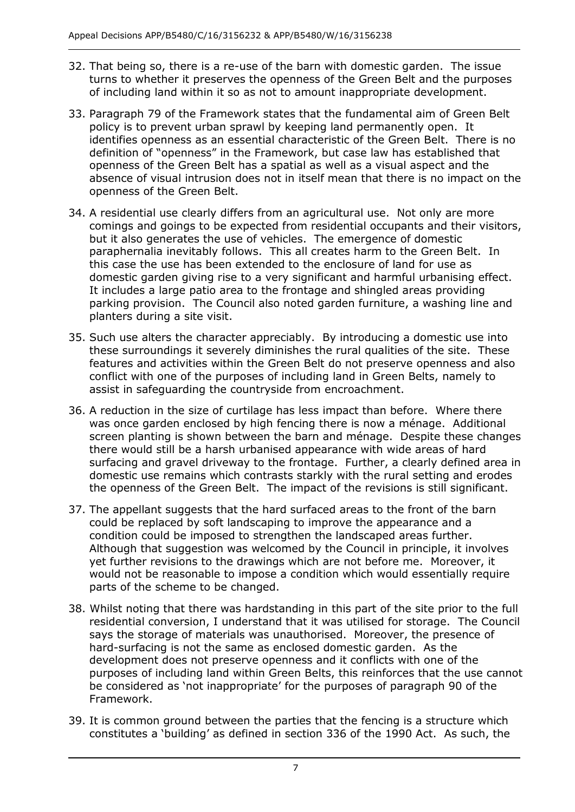- 32. That being so, there is a re-use of the barn with domestic garden. The issue of including land within it so as not to amount inappropriate development. turns to whether it preserves the openness of the Green Belt and the purposes
- 33. Paragraph 79 of the Framework states that the fundamental aim of Green Belt policy is to prevent urban sprawl by keeping land permanently open. It identifies openness as an essential characteristic of the Green Belt. There is no definition of "openness" in the Framework, but case law has established that openness of the Green Belt has a spatial as well as a visual aspect and the absence of visual intrusion does not in itself mean that there is no impact on the openness of the Green Belt.
- 34. A residential use clearly differs from an agricultural use. Not only are more comings and goings to be expected from residential occupants and their visitors, but it also generates the use of vehicles. The emergence of domestic paraphernalia inevitably follows. This all creates harm to the Green Belt. In this case the use has been extended to the enclosure of land for use as domestic garden giving rise to a very significant and harmful urbanising effect. It includes a large patio area to the frontage and shingled areas providing parking provision. The Council also noted garden furniture, a washing line and planters during a site visit.
- 35. Such use alters the character appreciably. By introducing a domestic use into these surroundings it severely diminishes the rural qualities of the site. These conflict with one of the purposes of including land in Green Belts, namely to assist in safeguarding the countryside from encroachment. features and activities within the Green Belt do not preserve openness and also
- assist in safeguarding the countryside from encroachment. 36. A reduction in the size of curtilage has less impact than before. Where there was once garden enclosed by high fencing there is now a ménage. Additional screen planting is shown between the barn and ménage. Despite these changes there would still be a harsh urbanised appearance with wide areas of hard surfacing and gravel driveway to the frontage. Further, a clearly defined area in domestic use remains which contrasts starkly with the rural setting and erodes the openness of the Green Belt. The impact of the revisions is still significant.
- could be replaced by soft landscaping to improve the appearance and a condition could be imposed to strengthen the landscaped areas further. condition could be imposed to strengthen the landscaped areas further.<br>Although that suggestion was welcomed by the Council in principle, it involves yet further revisions to the drawings which are not before me. Moreover, it would not be reasonable to impose a condition which would essentially require 37. The appellant suggests that the hard surfaced areas to the front of the barn parts of the scheme to be changed.
- 38. Whilst noting that there was hardstanding in this part of the site prior to the full residential conversion, I understand that it was utilised for storage. The Council says the storage of materials was unauthorised. Moreover, the presence of hard-surfacing is not the same as enclosed domestic garden. As the development does not preserve openness and it conflicts with one of the purposes of including land within Green Belts, this reinforces that the use cannot be considered as 'not inappropriate' for the purposes of paragraph 90 of the Framework.
- 39. It is common ground between the parties that the fencing is a structure which constitutes a 'building' as defined in section 336 of the 1990 Act. As such, the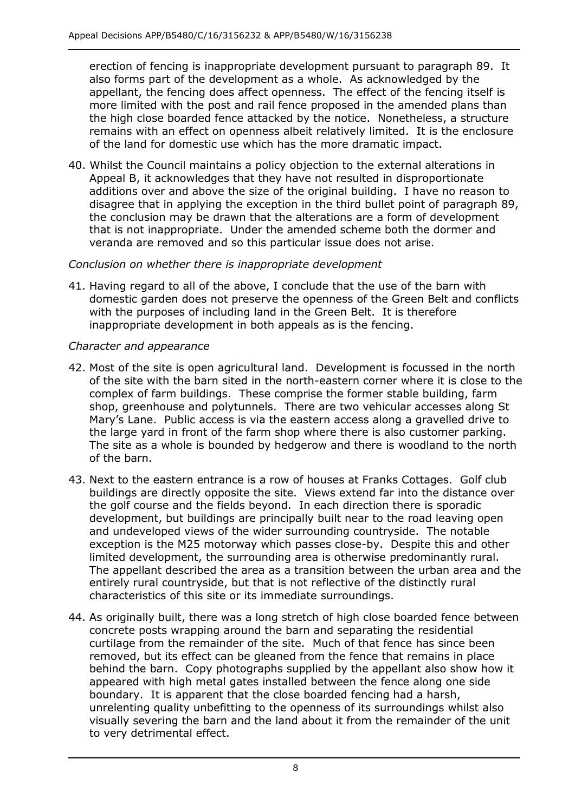erection of fencing is inappropriate development pursuant to paragraph 89. It also forms part of the development as a whole. As acknowledged by the appellant, the fencing does affect openness. The effect of the fencing itself is more limited with the post and rail fence proposed in the amended plans than the high close boarded fence attacked by the notice. Nonetheless, a structure remains with an effect on openness albeit relatively limited. It is the enclosure of the land for domestic use which has the more dramatic impact.

 40. Whilst the Council maintains a policy objection to the external alterations in Appeal B, it acknowledges that they have not resulted in disproportionate additions over and above the size of the original building. I have no reason to disagree that in applying the exception in the third bullet point of paragraph 89, the conclusion may be drawn that the alterations are a form of development that is not inappropriate. Under the amended scheme both the dormer and veranda are removed and so this particular issue does not arise.

### *Conclusion on whether there is inappropriate development*

 41. Having regard to all of the above, I conclude that the use of the barn with with the purposes of including land in the Green Belt. It is therefore inappropriate development in both appeals as is the fencing. domestic garden does not preserve the openness of the Green Belt and conflicts

#### *Character and appearance*

- 42. Most of the site is open agricultural land. Development is focussed in the north of the site with the barn sited in the north-eastern corner where it is close to the complex of farm buildings. These comprise the former stable building, farm shop, greenhouse and polytunnels. There are two vehicular accesses along St Mary's Lane. Public access is via the eastern access along a gravelled drive to the large yard in front of the farm shop where there is also customer parking. The site as a whole is bounded by hedgerow and there is woodland to the north of the barn.
- 43. Next to the eastern entrance is a row of houses at Franks Cottages. Golf club buildings are directly opposite the site. Views extend far into the distance over the golf course and the fields beyond. In each direction there is sporadic development, but buildings are principally built near to the road leaving open and undeveloped views of the wider surrounding countryside. The notable exception is the M25 motorway which passes close-by. Despite this and other limited development, the surrounding area is otherwise predominantly rural. entirely rural countryside, but that is not reflective of the distinctly rural characteristics of this site or its immediate surroundings. The appellant described the area as a transition between the urban area and the
- characteristics of this site or its immediate surroundings. 44. As originally built, there was a long stretch of high close boarded fence between concrete posts wrapping around the barn and separating the residential curtilage from the remainder of the site. Much of that fence has since been removed, but its effect can be gleaned from the fence that remains in place behind the barn. Copy photographs supplied by the appellant also show how it boundary. It is apparent that the close boarded fencing had a harsh, unrelenting quality unbefitting to the openness of its surroundings whilst also visually severing the barn and the land about it from the remainder of the unit to very detrimental effect. appeared with high metal gates installed between the fence along one side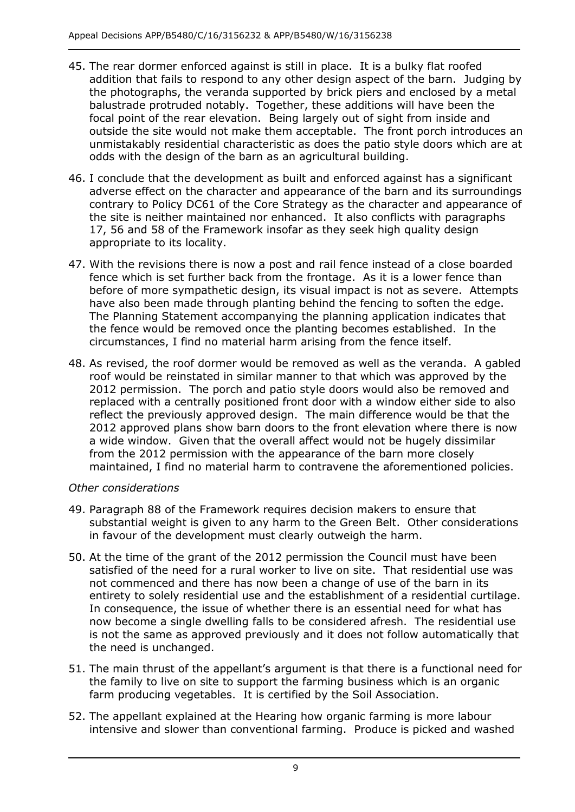- 45. The rear dormer enforced against is still in place. It is a bulky flat roofed addition that fails to respond to any other design aspect of the barn. Judging by the photographs, the veranda supported by brick piers and enclosed by a metal balustrade protruded notably. Together, these additions will have been the focal point of the rear elevation. Being largely out of sight from inside and outside the site would not make them acceptable. The front porch introduces an odds with the design of the barn as an agricultural building. unmistakably residential characteristic as does the patio style doors which are at
- odds with the design of the barn as an agricultural building. 46. I conclude that the development as built and enforced against has a significant adverse effect on the character and appearance of the barn and its surroundings contrary to Policy DC61 of the Core Strategy as the character and appearance of the site is neither maintained nor enhanced. It also conflicts with paragraphs 17, 56 and 58 of the Framework insofar as they seek high quality design appropriate to its locality.
- 47. With the revisions there is now a post and rail fence instead of a close boarded fence which is set further back from the frontage. As it is a lower fence than before of more sympathetic design, its visual impact is not as severe. Attempts have also been made through planting behind the fencing to soften the edge. the fence would be removed once the planting becomes established. In the circumstances, I find no material harm arising from the fence itself. The Planning Statement accompanying the planning application indicates that
- 48. As revised, the roof dormer would be removed as well as the veranda. A gabled roof would be reinstated in similar manner to that which was approved by the 2012 permission. The porch and patio style doors would also be removed and replaced with a centrally positioned front door with a window either side to also reflect the previously approved design. The main difference would be that the a wide window. Given that the overall affect would not be hugely dissimilar from the 2012 permission with the appearance of the barn more closely maintained, I find no material harm to contravene the aforementioned policies. 2012 approved plans show barn doors to the front elevation where there is now

#### *Other considerations*

- substantial weight is given to any harm to the Green Belt. Other considerations in favour of the development must clearly outweigh the harm. 49. Paragraph 88 of the Framework requires decision makers to ensure that
- 50. At the time of the grant of the 2012 permission the Council must have been satisfied of the need for a rural worker to live on site. That residential use was not commenced and there has now been a change of use of the barn in its entirety to solely residential use and the establishment of a residential curtilage. In consequence, the issue of whether there is an essential need for what has now become a single dwelling falls to be considered afresh. The residential use is not the same as approved previously and it does not follow automatically that the need is unchanged.
- 51. The main thrust of the appellant's argument is that there is a functional need for the family to live on site to support the farming business which is an organic farm producing vegetables. It is certified by the Soil Association.
- 52. The appellant explained at the Hearing how organic farming is more labour intensive and slower than conventional farming. Produce is picked and washed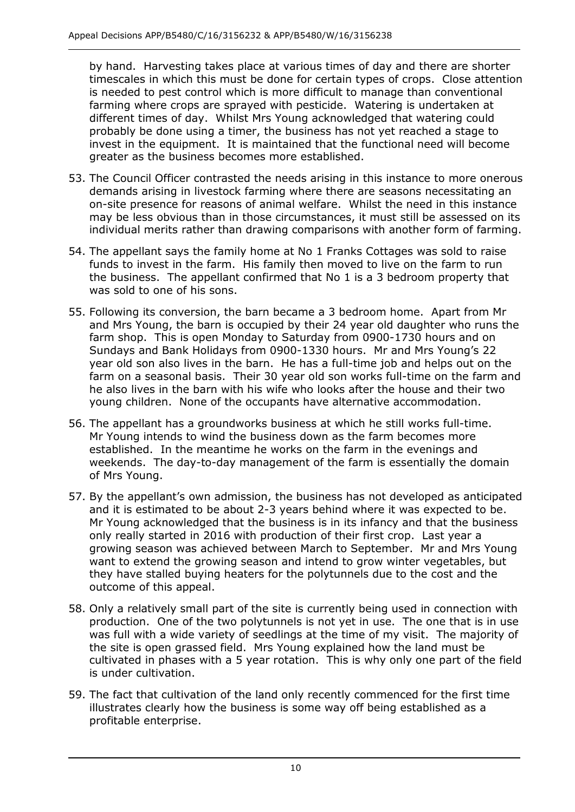by hand. Harvesting takes place at various times of day and there are shorter timescales in which this must be done for certain types of crops. Close attention farming where crops are sprayed with pesticide. Watering is undertaken at different times of day. Whilst Mrs Young acknowledged that watering could probably be done using a timer, the business has not yet reached a stage to invest in the equipment. It is maintained that the functional need will become greater as the business becomes more established. is needed to pest control which is more difficult to manage than conventional

- greater as the business becomes more established. 53. The Council Officer contrasted the needs arising in this instance to more onerous on-site presence for reasons of animal welfare. Whilst the need in this instance may be less obvious than in those circumstances, it must still be assessed on its individual merits rather than drawing comparisons with another form of farming. demands arising in livestock farming where there are seasons necessitating an
- 54. The appellant says the family home at No 1 Franks Cottages was sold to raise funds to invest in the farm. His family then moved to live on the farm to run the business. The appellant confirmed that No 1 is a 3 bedroom property that was sold to one of his sons.
- 55. Following its conversion, the barn became a 3 bedroom home. Apart from Mr and Mrs Young, the barn is occupied by their 24 year old daughter who runs the farm shop. This is open Monday to Saturday from 0900-1730 hours and on Sundays and Bank Holidays from 0900-1330 hours. Mr and Mrs Young's 22 year old son also lives in the barn. He has a full-time job and helps out on the farm on a seasonal basis. Their 30 year old son works full-time on the farm and he also lives in the barn with his wife who looks after the house and their two young children. None of the occupants have alternative accommodation.
- 56. The appellant has a groundworks business at which he still works full-time. Mr Young intends to wind the business down as the farm becomes more established. In the meantime he works on the farm in the evenings and weekends. The day-to-day management of the farm is essentially the domain of Mrs Young.
- of Mrs Young. 57. By the appellant's own admission, the business has not developed as anticipated and it is estimated to be about 2-3 years behind where it was expected to be. Mr Young acknowledged that the business is in its infancy and that the business only really started in 2016 with production of their first crop. Last year a growing season was achieved between March to September. Mr and Mrs Young want to extend the growing season and intend to grow winter vegetables, but they have stalled buying heaters for the polytunnels due to the cost and the outcome of this appeal.
- 58. Only a relatively small part of the site is currently being used in connection with production. One of the two polytunnels is not yet in use. The one that is in use was full with a wide variety of seedlings at the time of my visit. The majority of the site is open grassed field. Mrs Young explained how the land must be cultivated in phases with a 5 year rotation. This is why only one part of the field is under cultivation.
- is under cultivation. 59. The fact that cultivation of the land only recently commenced for the first time illustrates clearly how the business is some way off being established as a profitable enterprise.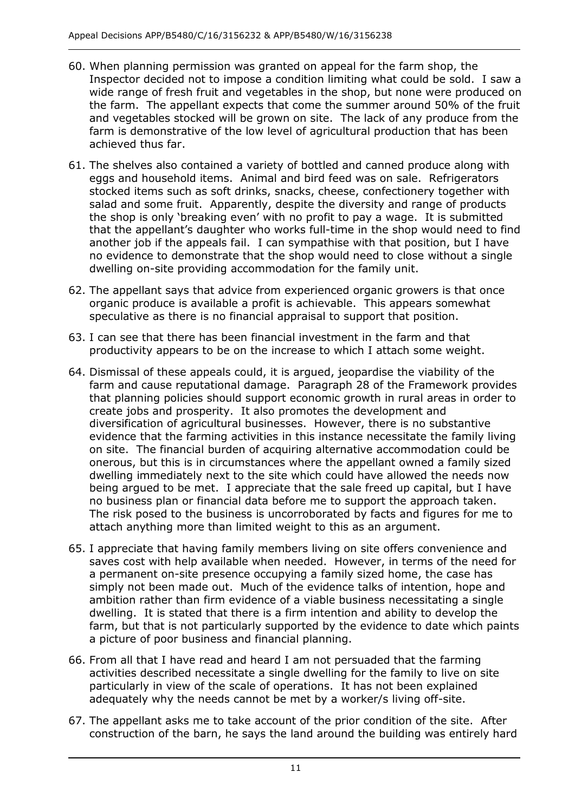- 60. When planning permission was granted on appeal for the farm shop, the Inspector decided not to impose a condition limiting what could be sold. I saw a wide range of fresh fruit and vegetables in the shop, but none were produced on and vegetables stocked will be grown on site. The lack of any produce from the the farm. The appellant expects that come the summer around 50% of the fruit farm is demonstrative of the low level of agricultural production that has been achieved thus far.
- 61. The shelves also contained a variety of bottled and canned produce along with eggs and household items. Animal and bird feed was on sale. Refrigerators stocked items such as soft drinks, snacks, cheese, confectionery together with salad and some fruit. Apparently, despite the diversity and range of products the shop is only 'breaking even' with no profit to pay a wage. It is submitted another job if the appeals fail. I can sympathise with that position, but I have no evidence to demonstrate that the shop would need to close without a single dwelling on-site providing accommodation for the family unit. that the appellant's daughter who works full-time in the shop would need to find
- organic produce is available a profit is achievable. This appears somewhat speculative as there is no financial appraisal to support that position. 62. The appellant says that advice from experienced organic growers is that once
- speculative as there is no financial appraisal to support that position. 63. I can see that there has been financial investment in the farm and that productivity appears to be on the increase to which I attach some weight.
- productivity appears to be on the increase to which I attach some weight. 64. Dismissal of these appeals could, it is argued, jeopardise the viability of the farm and cause reputational damage. Paragraph 28 of the Framework provides that planning policies should support economic growth in rural areas in order to create jobs and prosperity. It also promotes the development and diversification of agricultural businesses. However, there is no substantive evidence that the farming activities in this instance necessitate the family living on site. The financial burden of acquiring alternative accommodation could be onerous, but this is in circumstances where the appellant owned a family sized dwelling immediately next to the site which could have allowed the needs now being argued to be met. I appreciate that the sale freed up capital, but I have no business plan or financial data before me to support the approach taken. The risk posed to the business is uncorroborated by facts and figures for me to attach anything more than limited weight to this as an argument.
- 65. I appreciate that having family members living on site offers convenience and saves cost with help available when needed. However, in terms of the need for a permanent on-site presence occupying a family sized home, the case has simply not been made out. Much of the evidence talks of intention, hope and ambition rather than firm evidence of a viable business necessitating a single dwelling. It is stated that there is a firm intention and ability to develop the farm, but that is not particularly supported by the evidence to date which paints a picture of poor business and financial planning.
- 66. From all that I have read and heard I am not persuaded that the farming activities described necessitate a single dwelling for the family to live on site particularly in view of the scale of operations. It has not been explained adequately why the needs cannot be met by a worker/s living off-site.
- 67. The appellant asks me to take account of the prior condition of the site. After construction of the barn, he says the land around the building was entirely hard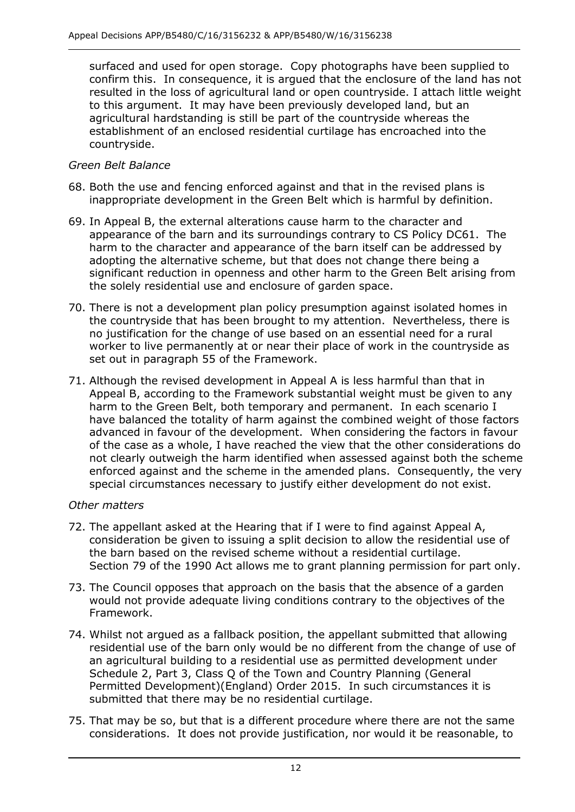surfaced and used for open storage. Copy photographs have been supplied to confirm this. In consequence, it is argued that the enclosure of the land has not resulted in the loss of agricultural land or open countryside. I attach little weight to this argument. It may have been previously developed land, but an agricultural hardstanding is still be part of the countryside whereas the countryside. establishment of an enclosed residential curtilage has encroached into the

#### *Green Belt Balance*

- 68. Both the use and fencing enforced against and that in the revised plans is inappropriate development in the Green Belt which is harmful by definition.
- 69. In Appeal B, the external alterations cause harm to the character and appearance of the barn and its surroundings contrary to CS Policy DC61. The harm to the character and appearance of the barn itself can be addressed by significant reduction in openness and other harm to the Green Belt arising from the solely residential use and enclosure of garden space. adopting the alternative scheme, but that does not change there being a
- 70. There is not a development plan policy presumption against isolated homes in the countryside that has been brought to my attention. Nevertheless, there is no justification for the change of use based on an essential need for a rural worker to live permanently at or near their place of work in the countryside as set out in paragraph 55 of the Framework.
- 71. Although the revised development in Appeal A is less harmful than that in Appeal B, according to the Framework substantial weight must be given to any harm to the Green Belt, both temporary and permanent. In each scenario I have balanced the totality of harm against the combined weight of those factors advanced in favour of the development. When considering the factors in favour of the case as a whole, I have reached the view that the other considerations do not clearly outweigh the harm identified when assessed against both the scheme enforced against and the scheme in the amended plans. Consequently, the very special circumstances necessary to justify either development do not exist.

#### *Other matters*

- 72. The appellant asked at the Hearing that if I were to find against Appeal A, consideration be given to issuing a split decision to allow the residential use of the barn based on the revised scheme without a residential curtilage. Section 79 of the 1990 Act allows me to grant planning permission for part only.
- 73. The Council opposes that approach on the basis that the absence of a garden would not provide adequate living conditions contrary to the objectives of the Framework.
- Framework. 74. Whilst not argued as a fallback position, the appellant submitted that allowing residential use of the barn only would be no different from the change of use of an agricultural building to a residential use as permitted development under Schedule 2, Part 3, Class Q of the Town and Country Planning (General Permitted Development)(England) Order 2015. In such circumstances it is submitted that there may be no residential curtilage.
- submitted that there may be no residential curtilage. 75. That may be so, but that is a different procedure where there are not the same considerations. It does not provide justification, nor would it be reasonable, to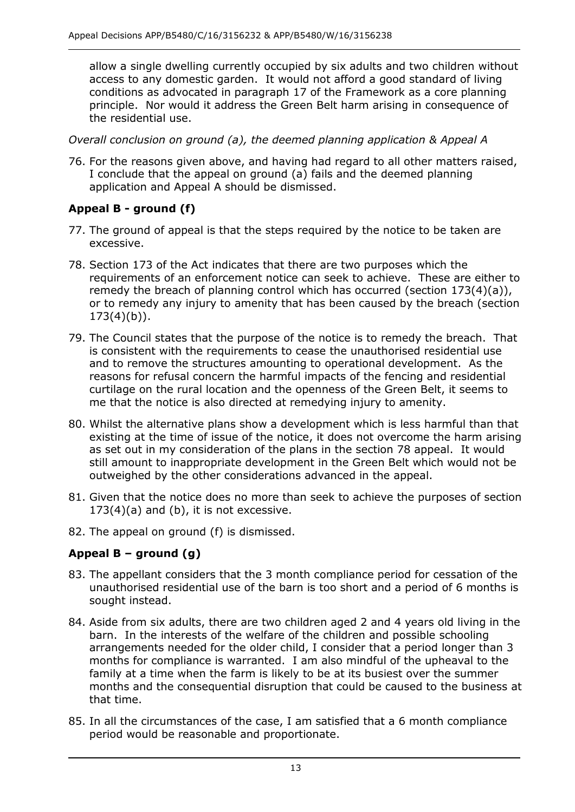allow a single dwelling currently occupied by six adults and two children without access to any domestic garden. It would not afford a good standard of living conditions as advocated in paragraph 17 of the Framework as a core planning principle. Nor would it address the Green Belt harm arising in consequence of the residential use.

 *Overall conclusion on ground (a), the deemed planning application & Appeal A* 

 76. For the reasons given above, and having had regard to all other matters raised, application and Appeal A should be dismissed. I conclude that the appeal on ground (a) fails and the deemed planning

# **Appeal B - ground (f)**

- 77. The ground of appeal is that the steps required by the notice to be taken are excessive.
- requirements of an enforcement notice can seek to achieve. These are either to remedy the breach of planning control which has occurred (section 173(4)(a)), or to remedy any injury to amenity that has been caused by the breach (section  $173(4)(b)$ ). 78. Section 173 of the Act indicates that there are two purposes which the
- 173(4)(b)). 79. The Council states that the purpose of the notice is to remedy the breach. That and to remove the structures amounting to operational development. As the reasons for refusal concern the harmful impacts of the fencing and residential me that the notice is also directed at remedying injury to amenity. is consistent with the requirements to cease the unauthorised residential use curtilage on the rural location and the openness of the Green Belt, it seems to
- 80. Whilst the alternative plans show a development which is less harmful than that existing at the time of issue of the notice, it does not overcome the harm arising as set out in my consideration of the plans in the section 78 appeal. It would still amount to inappropriate development in the Green Belt which would not be outweighed by the other considerations advanced in the appeal.
- $173(4)(a)$  and (b), it is not excessive. 81. Given that the notice does no more than seek to achieve the purposes of section
- 82. The appeal on ground (f) is dismissed.

# **Appeal B – ground (g)**

- unauthorised residential use of the barn is too short and a period of 6 months is sought instead. 83. The appellant considers that the 3 month compliance period for cessation of the
- 84. Aside from six adults, there are two children aged 2 and 4 years old living in the barn. In the interests of the welfare of the children and possible schooling arrangements needed for the older child, I consider that a period longer than 3 months for compliance is warranted. I am also mindful of the upheaval to the family at a time when the farm is likely to be at its busiest over the summer months and the consequential disruption that could be caused to the business at that time.
- 85. In all the circumstances of the case, I am satisfied that a 6 month compliance period would be reasonable and proportionate.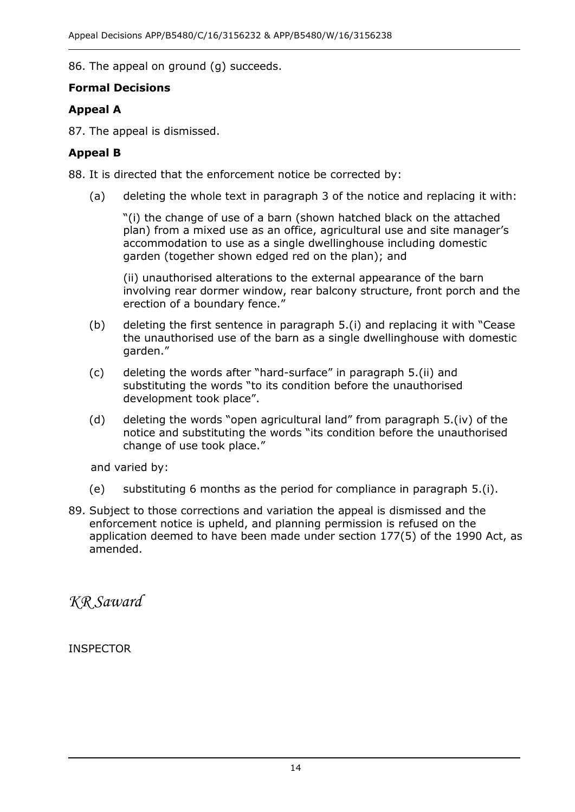86. The appeal on ground (g) succeeds.

## **Formal Decisions**

# **Appeal A**

87. The appeal is dismissed.

## **Appeal B**

88. It is directed that the enforcement notice be corrected by:

(a) deleting the whole text in paragraph 3 of the notice and replacing it with:

 "(i) the change of use of a barn (shown hatched black on the attached plan) from a mixed use as an office, agricultural use and site manager's accommodation to use as a single dwellinghouse including domestic garden (together shown edged red on the plan); and

 involving rear dormer window, rear balcony structure, front porch and the erection of a boundary fence." (ii) unauthorised alterations to the external appearance of the barn

- (b) deleting the first sentence in paragraph 5.(i) and replacing it with "Cease the unauthorised use of the barn as a single dwellinghouse with domestic garden."
- development took place". (c) deleting the words after "hard-surface" in paragraph 5.(ii) and substituting the words "to its condition before the unauthorised
- (d) deleting the words "open agricultural land" from paragraph 5.(iv) of the change of use took place." notice and substituting the words "its condition before the unauthorised

and varied by:

- (e) substituting 6 months as the period for compliance in paragraph 5.(i).
- 89. Subject to those corrections and variation the appeal is dismissed and the enforcement notice is upheld, and planning permission is refused on the application deemed to have been made under section 177(5) of the 1990 Act, as amended.

*KR Saward* 

INSPECTOR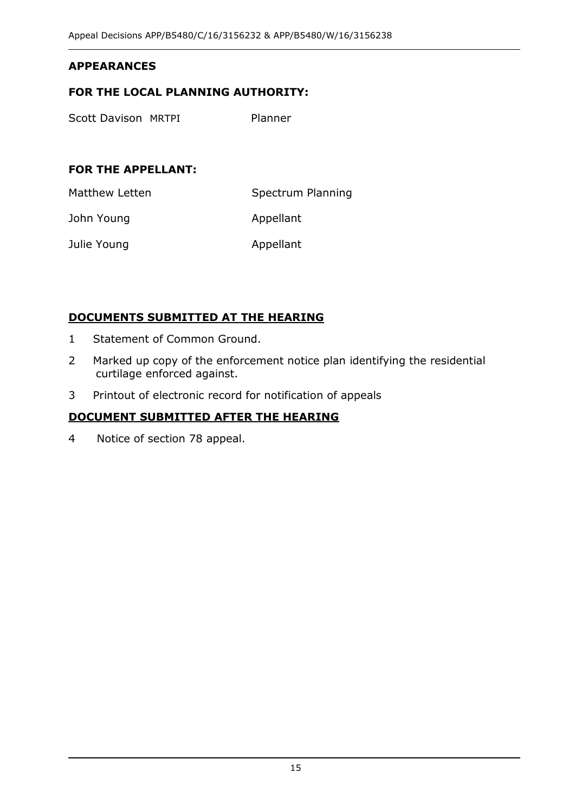#### **APPEARANCES**

#### **FOR THE LOCAL PLANNING AUTHORITY:**

Scott Davison MRTPI Planner

#### **FOR THE APPELLANT:**

Matthew Letten Spectrum Planning

John Young **Appellant** 

Julie Young **Appellant** 

#### **DOCUMENTS SUBMITTED AT THE HEARING**

- 1 Statement of Common Ground.
- 2 Marked up copy of the enforcement notice plan identifying the residential curtilage enforced against.
- 3 Printout of electronic record for notification of appeals

#### **DOCUMENT SUBMITTED AFTER THE HEARING**

4 Notice of section 78 appeal.